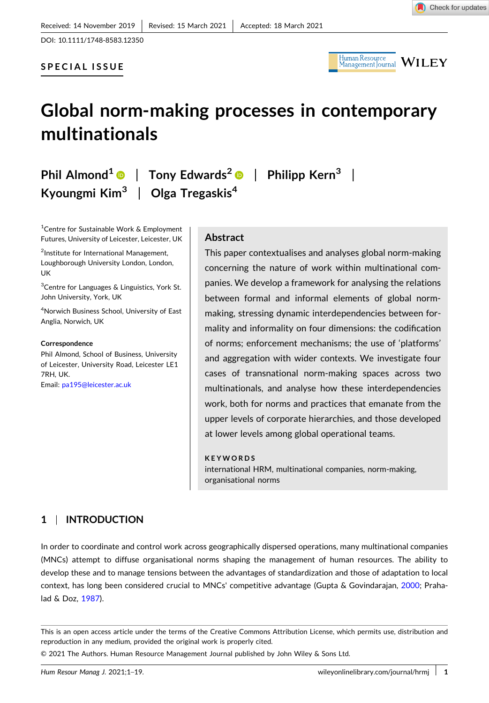DOI: [10.1111/1748-8583.12350](https://doi.org/10.1111/1748-8583.12350)

# **SPECIAL ISSUE**



# **Global norm‐making processes in contemporary multinationals**

**Phil Almond1** | **Tony Edwards<sup>2</sup>** | **Philipp Kern3** | **Kyoungmi Kim<sup>3</sup>** | **Olga Tregaskis4**

1 Centre for Sustainable Work & Employment Futures, University of Leicester, Leicester, UK

2 Institute for International Management, Loughborough University London, London, UK

<sup>3</sup>Centre for Languages & Linguistics, York St. John University, York, UK

4 Norwich Business School, University of East Anglia, Norwich, UK

#### **Correspondence**

Phil Almond, School of Business, University of Leicester, University Road, Leicester LE1 7RH, UK. Email: [pa195@leicester.ac.uk](mailto:pa195@leicester.ac.uk)

# **Abstract**

This paper contextualises and analyses global norm‐making concerning the nature of work within multinational companies. We develop a framework for analysing the relations between formal and informal elements of global norm‐ making, stressing dynamic interdependencies between formality and informality on four dimensions: the codification of norms; enforcement mechanisms; the use of 'platforms' and aggregation with wider contexts. We investigate four cases of transnational norm‐making spaces across two multinationals, and analyse how these interdependencies work, both for norms and practices that emanate from the upper levels of corporate hierarchies, and those developed at lower levels among global operational teams.

#### **KEYWORDS**

international HRM, multinational companies, norm-making, organisational norms

# **1** <sup>|</sup> **INTRODUCTION**

In order to coordinate and control work across geographically dispersed operations, many multinational companies (MNCs) attempt to diffuse organisational norms shaping the management of human resources. The ability to develop these and to manage tensions between the advantages of standardization and those of adaptation to local context, has long been considered crucial to MNCs' competitive advantage (Gupta & Govindarajan, [2000](#page-15-0); Prahalad & Doz, [1987\)](#page-15-0).

This is an open access article under the terms of the Creative Commons Attribution License, which permits use, distribution and reproduction in any medium, provided the original work is properly cited.

© 2021 The Authors. Human Resource Management Journal published by John Wiley & Sons Ltd.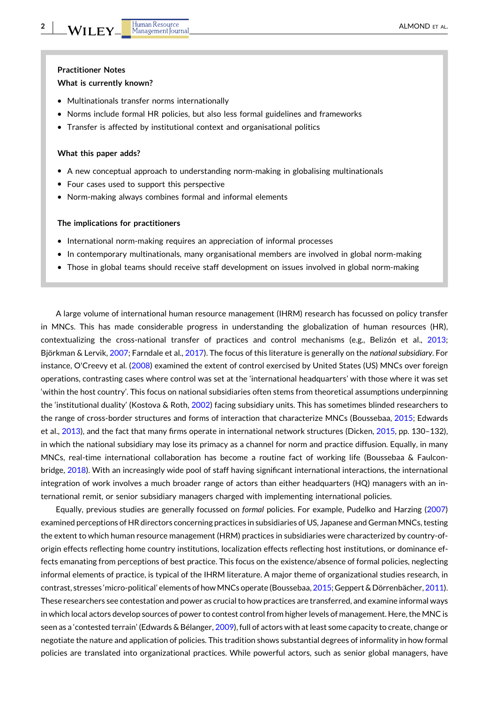#### **Practitioner Notes**

#### **What is currently known?**

- � Multinationals transfer norms internationally
- � Norms include formal HR policies, but also less formal guidelines and frameworks
- � Transfer is affected by institutional context and organisational politics

#### **What this paper adds?**

- A new conceptual approach to understanding norm-making in globalising multinationals
- � Four cases used to support this perspective
- � Norm‐making always combines formal and informal elements

### **The implications for practitioners**

- � International norm‐making requires an appreciation of informal processes
- � In contemporary multinationals, many organisational members are involved in global norm‐making
- Those in global teams should receive staff development on issues involved in global norm-making

A large volume of international human resource management (IHRM) research has focussed on policy transfer in MNCs. This has made considerable progress in understanding the globalization of human resources (HR), contextualizing the cross‐national transfer of practices and control mechanisms (e.g., Belizón et al., [2013](#page-14-0); Björkman & Lervik, [2007](#page-14-0); Farndale et al., [2017](#page-15-0)). The focus of this literature is generally on the *national subsidiary*. For instance, O'Creevy et al. [\(2008\)](#page-15-0) examined the extent of control exercised by United States (US) MNCs over foreign operations, contrasting cases where control was set at the 'international headquarters' with those where it was set 'within the host country'. This focus on national subsidiaries often stems from theoretical assumptions underpinning the 'institutional duality' (Kostova & Roth, [2002](#page-15-0)) facing subsidiary units. This has sometimes blinded researchers to the range of cross-border structures and forms of interaction that characterize MNCs (Boussebaa, [2015;](#page-15-0) Edwards et al., [2013\)](#page-15-0), and the fact that many firms operate in international network structures (Dicken, [2015,](#page-15-0) pp. 130–132), in which the national subsidiary may lose its primacy as a channel for norm and practice diffusion. Equally, in many MNCs, real-time international collaboration has become a routine fact of working life (Boussebaa & Faulcon-bridge, [2018](#page-15-0)). With an increasingly wide pool of staff having significant international interactions, the international integration of work involves a much broader range of actors than either headquarters (HQ) managers with an international remit, or senior subsidiary managers charged with implementing international policies.

Equally, previous studies are generally focussed on *formal* policies. For example, Pudelko and Harzing [\(2007\)](#page-15-0) examined perceptions of HR directors concerning practices in subsidiaries of US, Japanese and German MNCs, testing the extent to which human resource management (HRM) practices in subsidiaries were characterized by country‐of‐ origin effects reflecting home country institutions, localization effects reflecting host institutions, or dominance effects emanating from perceptions of best practice. This focus on the existence/absence of formal policies, neglecting informal elements of practice, is typical of the IHRM literature. A major theme of organizational studies research, in contrast, stresses 'micro-political' elements of how MNCs operate (Boussebaa, [2015;](#page-15-0) Geppert & Dörrenbächer, [2011](#page-15-0)). These researchers see contestation and power as crucial to how practices are transferred, and examine informal ways in which local actors develop sources of power to contest control from higher levels of management. Here, the MNC is seen as a 'contested terrain' (Edwards & Bélanger, [2009\)](#page-15-0), full of actors with at least some capacity to create, change or negotiate the nature and application of policies. This tradition shows substantial degrees of informality in how formal policies are translated into organizational practices. While powerful actors, such as senior global managers, have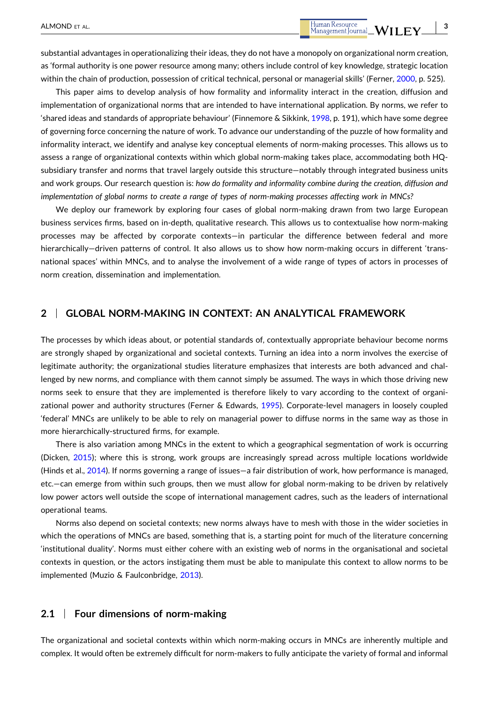This paper aims to develop analysis of how formality and informality interact in the creation, diffusion and implementation of organizational norms that are intended to have international application. By norms, we refer to 'shared ideas and standards of appropriate behaviour' (Finnemore & Sikkink, [1998](#page-15-0), p. 191), which have some degree of governing force concerning the nature of work. To advance our understanding of the puzzle of how formality and informality interact, we identify and analyse key conceptual elements of norm‐making processes. This allows us to assess a range of organizational contexts within which global norm‐making takes place, accommodating both HQ‐ subsidiary transfer and norms that travel largely outside this structure—notably through integrated business units and work groups. Our research question is: *how do formality and informality combine during the creation, diffusion and* implementation of global norms to create a range of types of norm-making processes affecting work in MNCs?

We deploy our framework by exploring four cases of global norm-making drawn from two large European business services firms, based on in‐depth, qualitative research. This allows us to contextualise how norm‐making processes may be affected by corporate contexts—in particular the difference between federal and more hierarchically-driven patterns of control. It also allows us to show how norm-making occurs in different 'transnational spaces' within MNCs, and to analyse the involvement of a wide range of types of actors in processes of norm creation, dissemination and implementation.

# **2** <sup>|</sup> **GLOBAL NORM‐MAKING IN CONTEXT: AN ANALYTICAL FRAMEWORK**

The processes by which ideas about, or potential standards of, contextually appropriate behaviour become norms are strongly shaped by organizational and societal contexts. Turning an idea into a norm involves the exercise of legitimate authority; the organizational studies literature emphasizes that interests are both advanced and challenged by new norms, and compliance with them cannot simply be assumed. The ways in which those driving new norms seek to ensure that they are implemented is therefore likely to vary according to the context of organi-zational power and authority structures (Ferner & Edwards, [1995](#page-15-0)). Corporate-level managers in loosely coupled 'federal' MNCs are unlikely to be able to rely on managerial power to diffuse norms in the same way as those in more hierarchically‐structured firms, for example.

There is also variation among MNCs in the extent to which a geographical segmentation of work is occurring (Dicken, [2015](#page-15-0)); where this is strong, work groups are increasingly spread across multiple locations worldwide (Hinds et al., [2014\)](#page-15-0). If norms governing a range of issues—a fair distribution of work, how performance is managed, etc.—can emerge from within such groups, then we must allow for global norm‐making to be driven by relatively low power actors well outside the scope of international management cadres, such as the leaders of international operational teams.

Norms also depend on societal contexts; new norms always have to mesh with those in the wider societies in which the operations of MNCs are based, something that is, a starting point for much of the literature concerning 'institutional duality'. Norms must either cohere with an existing web of norms in the organisational and societal contexts in question, or the actors instigating them must be able to manipulate this context to allow norms to be implemented (Muzio & Faulconbridge, [2013](#page-15-0)).

#### **2.1** <sup>|</sup> **Four dimensions of norm‐making**

The organizational and societal contexts within which norm-making occurs in MNCs are inherently multiple and complex. It would often be extremely difficult for norm‐makers to fully anticipate the variety of formal and informal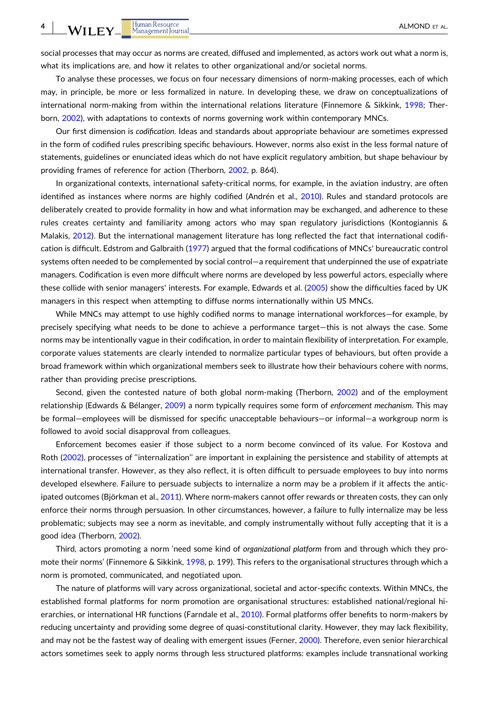social processes that may occur as norms are created, diffused and implemented, as actors work out what a norm is, what its implications are, and how it relates to other organizational and/or societal norms.

To analyse these processes, we focus on four necessary dimensions of norm‐making processes, each of which may, in principle, be more or less formalized in nature. In developing these, we draw on conceptualizations of international norm‐making from within the international relations literature (Finnemore & Sikkink, [1998;](#page-15-0) Therborn, [2002\)](#page-15-0), with adaptations to contexts of norms governing work within contemporary MNCs.

Our first dimension is *codification*. Ideas and standards about appropriate behaviour are sometimes expressed in the form of codified rules prescribing specific behaviours. However, norms also exist in the less formal nature of statements, guidelines or enunciated ideas which do not have explicit regulatory ambition, but shape behaviour by providing frames of reference for action (Therborn, [2002,](#page-15-0) p. 864).

In organizational contexts, international safety-critical norms, for example, in the aviation industry, are often identified as instances where norms are highly codified (Andrén et al., [2010\)](#page-14-0). Rules and standard protocols are deliberately created to provide formality in how and what information may be exchanged, and adherence to these rules creates certainty and familiarity among actors who may span regulatory jurisdictions (Kontogiannis & Malakis, [2012\)](#page-15-0). But the international management literature has long reflected the fact that international codification is difficult. Edstrom and Galbraith ([1977](#page-15-0)) argued that the formal codifications of MNCs' bureaucratic control systems often needed to be complemented by social control—a requirement that underpinned the use of expatriate managers. Codification is even more difficult where norms are developed by less powerful actors, especially where these collide with senior managers' interests. For example, Edwards et al. [\(2005\)](#page-15-0) show the difficulties faced by UK managers in this respect when attempting to diffuse norms internationally within US MNCs.

While MNCs may attempt to use highly codified norms to manage international workforces–for example, by precisely specifying what needs to be done to achieve a performance target—this is not always the case. Some norms may be intentionally vague in their codification, in order to maintain flexibility of interpretation. For example, corporate values statements are clearly intended to normalize particular types of behaviours, but often provide a broad framework within which organizational members seek to illustrate how their behaviours cohere with norms, rather than providing precise prescriptions.

Second, given the contested nature of both global norm-making (Therborn, [2002\)](#page-15-0) and of the employment relationship (Edwards & Bélanger, [2009\)](#page-15-0) a norm typically requires some form of *enforcement mechanism*. This may be formal—employees will be dismissed for specific unacceptable behaviours—or informal—a workgroup norm is followed to avoid social disapproval from colleagues.

Enforcement becomes easier if those subject to a norm become convinced of its value. For Kostova and Roth [\(2002\)](#page-15-0), processes of ''internalization'' are important in explaining the persistence and stability of attempts at international transfer. However, as they also reflect, it is often difficult to persuade employees to buy into norms developed elsewhere. Failure to persuade subjects to internalize a norm may be a problem if it affects the antic-ipated outcomes (Björkman et al., [2011\)](#page-14-0). Where norm-makers cannot offer rewards or threaten costs, they can only enforce their norms through persuasion. In other circumstances, however, a failure to fully internalize may be less problematic; subjects may see a norm as inevitable, and comply instrumentally without fully accepting that it is a good idea (Therborn, [2002](#page-15-0)).

Third, actors promoting a norm 'need some kind of *organizational platform* from and through which they promote their norms' (Finnemore & Sikkink, [1998,](#page-15-0) p. 199). This refers to the organisational structures through which a norm is promoted, communicated, and negotiated upon.

The nature of platforms will vary across organizational, societal and actor‐specific contexts. Within MNCs, the established formal platforms for norm promotion are organisational structures: established national/regional hierarchies, or international HR functions (Farndale et al., [2010](#page-15-0)). Formal platforms offer benefits to norm‐makers by reducing uncertainty and providing some degree of quasi‐constitutional clarity. However, they may lack flexibility, and may not be the fastest way of dealing with emergent issues (Ferner, [2000\)](#page-15-0). Therefore, even senior hierarchical actors sometimes seek to apply norms through less structured platforms: examples include transnational working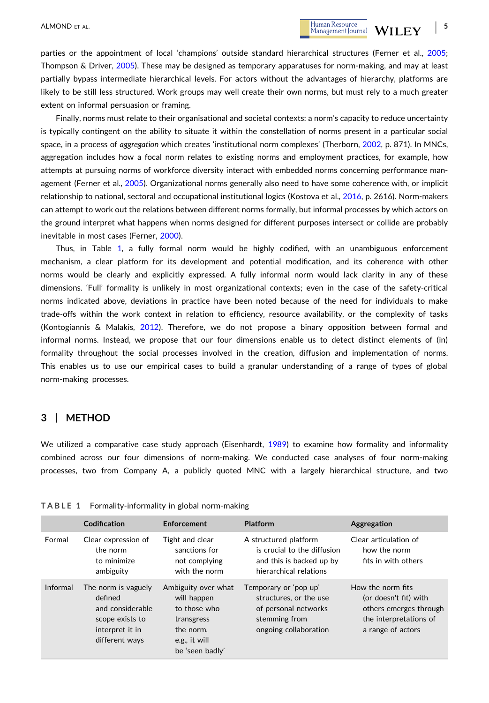parties or the appointment of local 'champions' outside standard hierarchical structures (Ferner et al., [2005](#page-15-0); Thompson & Driver, [2005\)](#page-16-0). These may be designed as temporary apparatuses for norm-making, and may at least partially bypass intermediate hierarchical levels. For actors without the advantages of hierarchy, platforms are likely to be still less structured. Work groups may well create their own norms, but must rely to a much greater extent on informal persuasion or framing.

Finally, norms must relate to their organisational and societal contexts: a norm's capacity to reduce uncertainty is typically contingent on the ability to situate it within the constellation of norms present in a particular social space, in a process of *aggregation* which creates 'institutional norm complexes' (Therborn, [2002,](#page-15-0) p. 871). In MNCs, aggregation includes how a focal norm relates to existing norms and employment practices, for example, how attempts at pursuing norms of workforce diversity interact with embedded norms concerning performance management (Ferner et al., [2005](#page-15-0)). Organizational norms generally also need to have some coherence with, or implicit relationship to national, sectoral and occupational institutional logics (Kostova et al., [2016](#page-15-0), p. 2616). Norm-makers can attempt to work out the relations between different norms formally, but informal processes by which actors on the ground interpret what happens when norms designed for different purposes intersect or collide are probably inevitable in most cases (Ferner, [2000](#page-15-0)).

Thus, in Table 1, a fully formal norm would be highly codified, with an unambiguous enforcement mechanism, a clear platform for its development and potential modification, and its coherence with other norms would be clearly and explicitly expressed. A fully informal norm would lack clarity in any of these dimensions. 'Full' formality is unlikely in most organizational contexts; even in the case of the safety-critical norms indicated above, deviations in practice have been noted because of the need for individuals to make trade‐offs within the work context in relation to efficiency, resource availability, or the complexity of tasks (Kontogiannis & Malakis, [2012](#page-15-0)). Therefore, we do not propose a binary opposition between formal and informal norms. Instead, we propose that our four dimensions enable us to detect distinct elements of (in) formality throughout the social processes involved in the creation, diffusion and implementation of norms. This enables us to use our empirical cases to build a granular understanding of a range of types of global norm‐making processes.

## **3** <sup>|</sup> **METHOD**

We utilized a comparative case study approach (Eisenhardt, [1989](#page-15-0)) to examine how formality and informality combined across our four dimensions of norm-making. We conducted case analyses of four norm-making processes, two from Company A, a publicly quoted MNC with a largely hierarchical structure, and two

|          | Codification                                                                                               | Enforcement                                                                                                       | <b>Platform</b>                                                                                                   | Aggregation                                                                                                         |
|----------|------------------------------------------------------------------------------------------------------------|-------------------------------------------------------------------------------------------------------------------|-------------------------------------------------------------------------------------------------------------------|---------------------------------------------------------------------------------------------------------------------|
| Formal   | Clear expression of<br>the norm<br>to minimize<br>ambiguity                                                | Tight and clear<br>sanctions for<br>not complying<br>with the norm                                                | A structured platform<br>is crucial to the diffusion<br>and this is backed up by<br>hierarchical relations        | Clear articulation of<br>how the norm<br>fits in with others                                                        |
| Informal | The norm is vaguely<br>defined<br>and considerable<br>scope exists to<br>interpret it in<br>different ways | Ambiguity over what<br>will happen<br>to those who<br>transgress<br>the norm.<br>e.g., it will<br>be 'seen badly' | Temporary or 'pop up'<br>structures, or the use<br>of personal networks<br>stemming from<br>ongoing collaboration | How the norm fits<br>(or doesn't fit) with<br>others emerges through<br>the interpretations of<br>a range of actors |

**TABLE 1** Formality‐informality in global norm‐making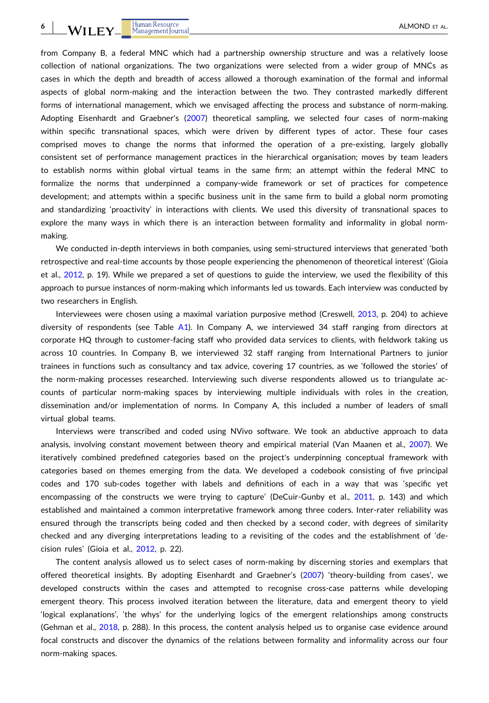from Company B, a federal MNC which had a partnership ownership structure and was a relatively loose collection of national organizations. The two organizations were selected from a wider group of MNCs as cases in which the depth and breadth of access allowed a thorough examination of the formal and informal aspects of global norm‐making and the interaction between the two. They contrasted markedly different forms of international management, which we envisaged affecting the process and substance of norm-making. Adopting Eisenhardt and Graebner's ([2007](#page-15-0)) theoretical sampling, we selected four cases of norm-making within specific transnational spaces, which were driven by different types of actor. These four cases comprised moves to change the norms that informed the operation of a pre-existing, largely globally consistent set of performance management practices in the hierarchical organisation; moves by team leaders to establish norms within global virtual teams in the same firm; an attempt within the federal MNC to formalize the norms that underpinned a company‐wide framework or set of practices for competence development; and attempts within a specific business unit in the same firm to build a global norm promoting and standardizing 'proactivity' in interactions with clients. We used this diversity of transnational spaces to explore the many ways in which there is an interaction between formality and informality in global normmaking.

We conducted in-depth interviews in both companies, using semi-structured interviews that generated 'both retrospective and real‐time accounts by those people experiencing the phenomenon of theoretical interest' (Gioia et al., [2012,](#page-15-0) p. 19). While we prepared a set of questions to guide the interview, we used the flexibility of this approach to pursue instances of norm‐making which informants led us towards. Each interview was conducted by two researchers in English.

Interviewees were chosen using a maximal variation purposive method (Creswell, [2013](#page-15-0), p. 204) to achieve diversity of respondents (see Table [A1\)](#page-16-0). In Company A, we interviewed 34 staff ranging from directors at corporate HQ through to customer‐facing staff who provided data services to clients, with fieldwork taking us across 10 countries. In Company B, we interviewed 32 staff ranging from International Partners to junior trainees in functions such as consultancy and tax advice, covering 17 countries, as we 'followed the stories' of the norm-making processes researched. Interviewing such diverse respondents allowed us to triangulate accounts of particular norm‐making spaces by interviewing multiple individuals with roles in the creation, dissemination and/or implementation of norms. In Company A, this included a number of leaders of small virtual global teams.

Interviews were transcribed and coded using NVivo software. We took an abductive approach to data analysis, involving constant movement between theory and empirical material (Van Maanen et al., [2007](#page-16-0)). We iteratively combined predefined categories based on the project's underpinning conceptual framework with categories based on themes emerging from the data. We developed a codebook consisting of five principal codes and 170 sub‐codes together with labels and definitions of each in a way that was 'specific yet encompassing of the constructs we were trying to capture' (DeCuir-Gunby et al., [2011,](#page-15-0) p. 143) and which established and maintained a common interpretative framework among three coders. Inter‐rater reliability was ensured through the transcripts being coded and then checked by a second coder, with degrees of similarity checked and any diverging interpretations leading to a revisiting of the codes and the establishment of 'decision rules' (Gioia et al., [2012,](#page-15-0) p. 22).

The content analysis allowed us to select cases of norm‐making by discerning stories and exemplars that offered theoretical insights. By adopting Eisenhardt and Graebner's [\(2007\)](#page-15-0) 'theory‐building from cases', we developed constructs within the cases and attempted to recognise cross-case patterns while developing emergent theory. This process involved iteration between the literature, data and emergent theory to yield 'logical explanations', 'the whys' for the underlying logics of the emergent relationships among constructs (Gehman et al., [2018,](#page-15-0) p. 288). In this process, the content analysis helped us to organise case evidence around focal constructs and discover the dynamics of the relations between formality and informality across our four norm‐making spaces.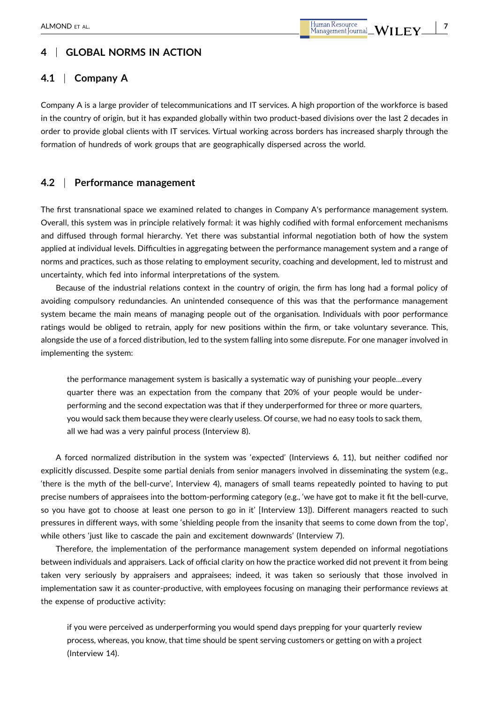# **4** <sup>|</sup> **GLOBAL NORMS IN ACTION**

# **4.1** <sup>|</sup> **Company A**

Company A is a large provider of telecommunications and IT services. A high proportion of the workforce is based in the country of origin, but it has expanded globally within two product-based divisions over the last 2 decades in order to provide global clients with IT services. Virtual working across borders has increased sharply through the formation of hundreds of work groups that are geographically dispersed across the world.

## **4.2** <sup>|</sup> **Performance management**

The first transnational space we examined related to changes in Company A's performance management system. Overall, this system was in principle relatively formal: it was highly codified with formal enforcement mechanisms and diffused through formal hierarchy. Yet there was substantial informal negotiation both of how the system applied at individual levels. Difficulties in aggregating between the performance management system and a range of norms and practices, such as those relating to employment security, coaching and development, led to mistrust and uncertainty, which fed into informal interpretations of the system.

Because of the industrial relations context in the country of origin, the firm has long had a formal policy of avoiding compulsory redundancies. An unintended consequence of this was that the performance management system became the main means of managing people out of the organisation. Individuals with poor performance ratings would be obliged to retrain, apply for new positions within the firm, or take voluntary severance. This, alongside the use of a forced distribution, led to the system falling into some disrepute. For one manager involved in implementing the system:

the performance management system is basically a systematic way of punishing your people…every quarter there was an expectation from the company that 20% of your people would be underperforming and the second expectation was that if they underperformed for three or more quarters, you would sack them because they were clearly useless. Of course, we had no easy tools to sack them, all we had was a very painful process (Interview 8).

A forced normalized distribution in the system was 'expected' (Interviews 6, 11), but neither codified nor explicitly discussed. Despite some partial denials from senior managers involved in disseminating the system (e.g., 'there is the myth of the bell‐curve', Interview 4), managers of small teams repeatedly pointed to having to put precise numbers of appraisees into the bottom-performing category (e.g., 'we have got to make it fit the bell-curve, so you have got to choose at least one person to go in it' [Interview 13]). Different managers reacted to such pressures in different ways, with some 'shielding people from the insanity that seems to come down from the top', while others 'just like to cascade the pain and excitement downwards' (Interview 7).

Therefore, the implementation of the performance management system depended on informal negotiations between individuals and appraisers. Lack of official clarity on how the practice worked did not prevent it from being taken very seriously by appraisers and appraisees; indeed, it was taken so seriously that those involved in implementation saw it as counter‐productive, with employees focusing on managing their performance reviews at the expense of productive activity:

if you were perceived as underperforming you would spend days prepping for your quarterly review process, whereas, you know, that time should be spent serving customers or getting on with a project (Interview 14).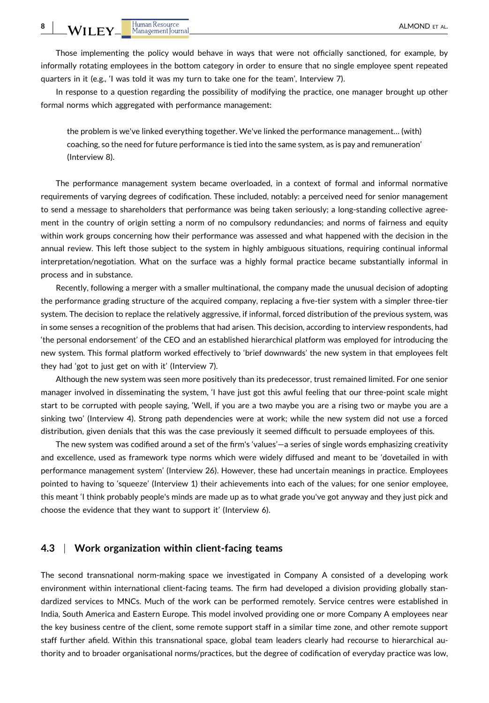Those implementing the policy would behave in ways that were not officially sanctioned, for example, by informally rotating employees in the bottom category in order to ensure that no single employee spent repeated quarters in it (e.g., 'I was told it was my turn to take one for the team', Interview 7).

In response to a question regarding the possibility of modifying the practice, one manager brought up other formal norms which aggregated with performance management:

the problem is we've linked everything together. We've linked the performance management… (with) coaching, so the need for future performance is tied into the same system, as is pay and remuneration' (Interview 8).

The performance management system became overloaded, in a context of formal and informal normative requirements of varying degrees of codification. These included, notably: a perceived need for senior management to send a message to shareholders that performance was being taken seriously; a long-standing collective agreement in the country of origin setting a norm of no compulsory redundancies; and norms of fairness and equity within work groups concerning how their performance was assessed and what happened with the decision in the annual review. This left those subject to the system in highly ambiguous situations, requiring continual informal interpretation/negotiation. What on the surface was a highly formal practice became substantially informal in process and in substance.

Recently, following a merger with a smaller multinational, the company made the unusual decision of adopting the performance grading structure of the acquired company, replacing a five‐tier system with a simpler three‐tier system. The decision to replace the relatively aggressive, if informal, forced distribution of the previous system, was in some senses a recognition of the problems that had arisen. This decision, according to interview respondents, had 'the personal endorsement' of the CEO and an established hierarchical platform was employed for introducing the new system. This formal platform worked effectively to 'brief downwards' the new system in that employees felt they had 'got to just get on with it' (Interview 7).

Although the new system was seen more positively than its predecessor, trust remained limited. For one senior manager involved in disseminating the system, 'I have just got this awful feeling that our three‐point scale might start to be corrupted with people saying, 'Well, if you are a two maybe you are a rising two or maybe you are a sinking two' (Interview 4). Strong path dependencies were at work; while the new system did not use a forced distribution, given denials that this was the case previously it seemed difficult to persuade employees of this.

The new system was codified around a set of the firm's 'values'—a series of single words emphasizing creativity and excellence, used as framework type norms which were widely diffused and meant to be 'dovetailed in with performance management system' (Interview 26). However, these had uncertain meanings in practice. Employees pointed to having to 'squeeze' (Interview 1) their achievements into each of the values; for one senior employee, this meant 'I think probably people's minds are made up as to what grade you've got anyway and they just pick and choose the evidence that they want to support it' (Interview 6).

# **4.3** <sup>|</sup> **Work organization within client‐facing teams**

The second transnational norm‐making space we investigated in Company A consisted of a developing work environment within international client‐facing teams. The firm had developed a division providing globally standardized services to MNCs. Much of the work can be performed remotely. Service centres were established in India, South America and Eastern Europe. This model involved providing one or more Company A employees near the key business centre of the client, some remote support staff in a similar time zone, and other remote support staff further afield. Within this transnational space, global team leaders clearly had recourse to hierarchical authority and to broader organisational norms/practices, but the degree of codification of everyday practice was low,

**8**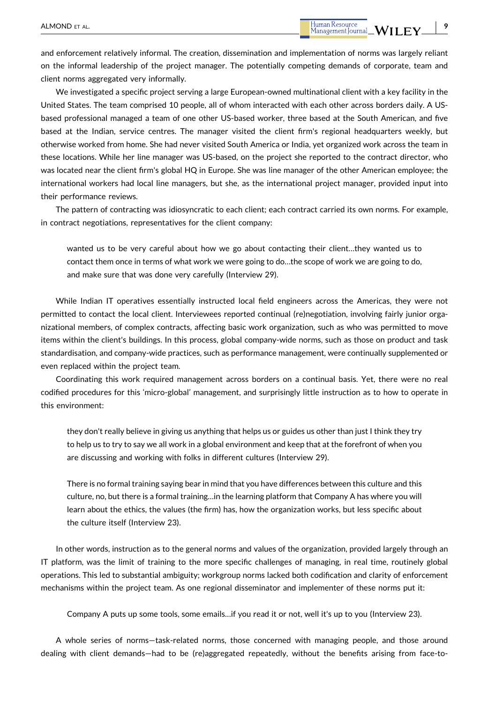and enforcement relatively informal. The creation, dissemination and implementation of norms was largely reliant on the informal leadership of the project manager. The potentially competing demands of corporate, team and client norms aggregated very informally.

We investigated a specific project serving a large European-owned multinational client with a key facility in the United States. The team comprised 10 people, all of whom interacted with each other across borders daily. A US‐ based professional managed a team of one other US‐based worker, three based at the South American, and five based at the Indian, service centres. The manager visited the client firm's regional headquarters weekly, but otherwise worked from home. She had never visited South America or India, yet organized work across the team in these locations. While her line manager was US‐based, on the project she reported to the contract director, who was located near the client firm's global HQ in Europe. She was line manager of the other American employee; the international workers had local line managers, but she, as the international project manager, provided input into their performance reviews.

The pattern of contracting was idiosyncratic to each client; each contract carried its own norms. For example, in contract negotiations, representatives for the client company:

wanted us to be very careful about how we go about contacting their client…they wanted us to contact them once in terms of what work we were going to do…the scope of work we are going to do, and make sure that was done very carefully (Interview 29).

While Indian IT operatives essentially instructed local field engineers across the Americas, they were not permitted to contact the local client. Interviewees reported continual (re)negotiation, involving fairly junior organizational members, of complex contracts, affecting basic work organization, such as who was permitted to move items within the client's buildings. In this process, global company‐wide norms, such as those on product and task standardisation, and company‐wide practices, such as performance management, were continually supplemented or even replaced within the project team.

Coordinating this work required management across borders on a continual basis. Yet, there were no real codified procedures for this 'micro‐global' management, and surprisingly little instruction as to how to operate in this environment:

they don't really believe in giving us anything that helps us or guides us other than just I think they try to help us to try to say we all work in a global environment and keep that at the forefront of when you are discussing and working with folks in different cultures (Interview 29).

There is no formal training saying bear in mind that you have differences between this culture and this culture, no, but there is a formal training…in the learning platform that Company A has where you will learn about the ethics, the values (the firm) has, how the organization works, but less specific about the culture itself (Interview 23).

In other words, instruction as to the general norms and values of the organization, provided largely through an IT platform, was the limit of training to the more specific challenges of managing, in real time, routinely global operations. This led to substantial ambiguity; workgroup norms lacked both codification and clarity of enforcement mechanisms within the project team. As one regional disseminator and implementer of these norms put it:

Company A puts up some tools, some emails…if you read it or not, well it's up to you (Interview 23).

A whole series of norms—task‐related norms, those concerned with managing people, and those around dealing with client demands—had to be (re)aggregated repeatedly, without the benefits arising from face-to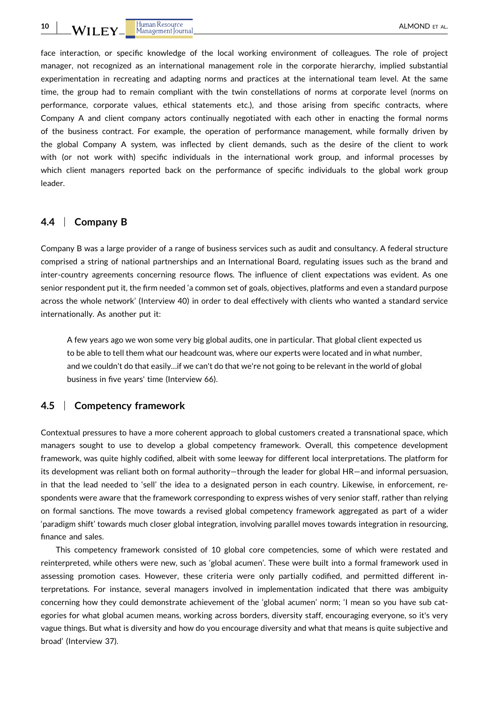face interaction, or specific knowledge of the local working environment of colleagues. The role of project manager, not recognized as an international management role in the corporate hierarchy, implied substantial experimentation in recreating and adapting norms and practices at the international team level. At the same time, the group had to remain compliant with the twin constellations of norms at corporate level (norms on performance, corporate values, ethical statements etc.), and those arising from specific contracts, where Company A and client company actors continually negotiated with each other in enacting the formal norms of the business contract. For example, the operation of performance management, while formally driven by the global Company A system, was inflected by client demands, such as the desire of the client to work with (or not work with) specific individuals in the international work group, and informal processes by which client managers reported back on the performance of specific individuals to the global work group leader.

## **4.4** <sup>|</sup> **Company B**

Company B was a large provider of a range of business services such as audit and consultancy. A federal structure comprised a string of national partnerships and an International Board, regulating issues such as the brand and inter-country agreements concerning resource flows. The influence of client expectations was evident. As one senior respondent put it, the firm needed 'a common set of goals, objectives, platforms and even a standard purpose across the whole network' (Interview 40) in order to deal effectively with clients who wanted a standard service internationally. As another put it:

A few years ago we won some very big global audits, one in particular. That global client expected us to be able to tell them what our headcount was, where our experts were located and in what number, and we couldn't do that easily…if we can't do that we're not going to be relevant in the world of global business in five years' time (Interview 66).

# **4.5** <sup>|</sup> **Competency framework**

Contextual pressures to have a more coherent approach to global customers created a transnational space, which managers sought to use to develop a global competency framework. Overall, this competence development framework, was quite highly codified, albeit with some leeway for different local interpretations. The platform for its development was reliant both on formal authority—through the leader for global HR—and informal persuasion, in that the lead needed to 'sell' the idea to a designated person in each country. Likewise, in enforcement, respondents were aware that the framework corresponding to express wishes of very senior staff, rather than relying on formal sanctions. The move towards a revised global competency framework aggregated as part of a wider 'paradigm shift' towards much closer global integration, involving parallel moves towards integration in resourcing, finance and sales.

This competency framework consisted of 10 global core competencies, some of which were restated and reinterpreted, while others were new, such as 'global acumen'. These were built into a formal framework used in assessing promotion cases. However, these criteria were only partially codified, and permitted different interpretations. For instance, several managers involved in implementation indicated that there was ambiguity concerning how they could demonstrate achievement of the 'global acumen' norm; 'I mean so you have sub categories for what global acumen means, working across borders, diversity staff, encouraging everyone, so it's very vague things. But what is diversity and how do you encourage diversity and what that means is quite subjective and broad' (Interview 37).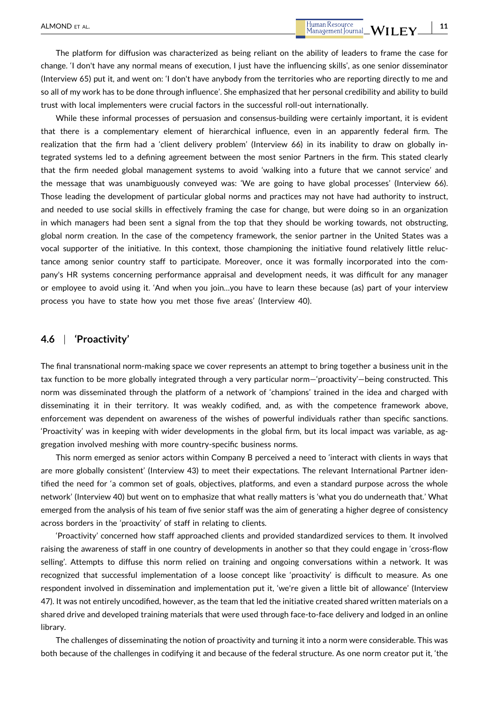- **11**

The platform for diffusion was characterized as being reliant on the ability of leaders to frame the case for change. 'I don't have any normal means of execution, I just have the influencing skills', as one senior disseminator (Interview 65) put it, and went on: 'I don't have anybody from the territories who are reporting directly to me and so all of my work has to be done through influence'. She emphasized that her personal credibility and ability to build trust with local implementers were crucial factors in the successful roll‐out internationally.

While these informal processes of persuasion and consensus-building were certainly important, it is evident that there is a complementary element of hierarchical influence, even in an apparently federal firm. The realization that the firm had a 'client delivery problem' (Interview 66) in its inability to draw on globally integrated systems led to a defining agreement between the most senior Partners in the firm. This stated clearly that the firm needed global management systems to avoid 'walking into a future that we cannot service' and the message that was unambiguously conveyed was: 'We are going to have global processes' (Interview 66). Those leading the development of particular global norms and practices may not have had authority to instruct, and needed to use social skills in effectively framing the case for change, but were doing so in an organization in which managers had been sent a signal from the top that they should be working towards, not obstructing, global norm creation. In the case of the competency framework, the senior partner in the United States was a vocal supporter of the initiative. In this context, those championing the initiative found relatively little reluctance among senior country staff to participate. Moreover, once it was formally incorporated into the company's HR systems concerning performance appraisal and development needs, it was difficult for any manager or employee to avoid using it. 'And when you join…you have to learn these because (as) part of your interview process you have to state how you met those five areas' (Interview 40).

# **4.6** <sup>|</sup> **'Proactivity'**

The final transnational norm‐making space we cover represents an attempt to bring together a business unit in the tax function to be more globally integrated through a very particular norm—'proactivity'—being constructed. This norm was disseminated through the platform of a network of 'champions' trained in the idea and charged with disseminating it in their territory. It was weakly codified, and, as with the competence framework above, enforcement was dependent on awareness of the wishes of powerful individuals rather than specific sanctions. 'Proactivity' was in keeping with wider developments in the global firm, but its local impact was variable, as aggregation involved meshing with more country‐specific business norms.

This norm emerged as senior actors within Company B perceived a need to 'interact with clients in ways that are more globally consistent' (Interview 43) to meet their expectations. The relevant International Partner identified the need for 'a common set of goals, objectives, platforms, and even a standard purpose across the whole network' (Interview 40) but went on to emphasize that what really matters is 'what you do underneath that.' What emerged from the analysis of his team of five senior staff was the aim of generating a higher degree of consistency across borders in the 'proactivity' of staff in relating to clients.

'Proactivity' concerned how staff approached clients and provided standardized services to them. It involved raising the awareness of staff in one country of developments in another so that they could engage in 'cross-flow selling'. Attempts to diffuse this norm relied on training and ongoing conversations within a network. It was recognized that successful implementation of a loose concept like 'proactivity' is difficult to measure. As one respondent involved in dissemination and implementation put it, 'we're given a little bit of allowance' (Interview 47). It was not entirely uncodified, however, as the team that led the initiative created shared written materials on a shared drive and developed training materials that were used through face-to-face delivery and lodged in an online library.

The challenges of disseminating the notion of proactivity and turning it into a norm were considerable. This was both because of the challenges in codifying it and because of the federal structure. As one norm creator put it, 'the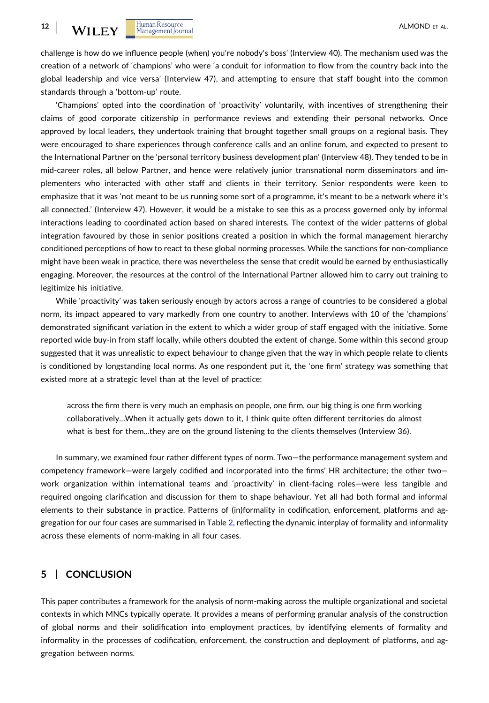challenge is how do we influence people (when) you're nobody's boss' (Interview 40). The mechanism used was the creation of a network of 'champions' who were 'a conduit for information to flow from the country back into the global leadership and vice versa' (Interview 47), and attempting to ensure that staff bought into the common standards through a 'bottom‐up' route.

'Champions' opted into the coordination of 'proactivity' voluntarily, with incentives of strengthening their claims of good corporate citizenship in performance reviews and extending their personal networks. Once approved by local leaders, they undertook training that brought together small groups on a regional basis. They were encouraged to share experiences through conference calls and an online forum, and expected to present to the International Partner on the 'personal territory business development plan' (Interview 48). They tended to be in mid‐career roles, all below Partner, and hence were relatively junior transnational norm disseminators and implementers who interacted with other staff and clients in their territory. Senior respondents were keen to emphasize that it was 'not meant to be us running some sort of a programme, it's meant to be a network where it's all connected.' (Interview 47). However, it would be a mistake to see this as a process governed only by informal interactions leading to coordinated action based on shared interests. The context of the wider patterns of global integration favoured by those in senior positions created a position in which the formal management hierarchy conditioned perceptions of how to react to these global norming processes. While the sanctions for non‐compliance might have been weak in practice, there was nevertheless the sense that credit would be earned by enthusiastically engaging. Moreover, the resources at the control of the International Partner allowed him to carry out training to legitimize his initiative.

While 'proactivity' was taken seriously enough by actors across a range of countries to be considered a global norm, its impact appeared to vary markedly from one country to another. Interviews with 10 of the 'champions' demonstrated significant variation in the extent to which a wider group of staff engaged with the initiative. Some reported wide buy‐in from staff locally, while others doubted the extent of change. Some within this second group suggested that it was unrealistic to expect behaviour to change given that the way in which people relate to clients is conditioned by longstanding local norms. As one respondent put it, the 'one firm' strategy was something that existed more at a strategic level than at the level of practice:

across the firm there is very much an emphasis on people, one firm, our big thing is one firm working collaboratively…When it actually gets down to it, I think quite often different territories do almost what is best for them...they are on the ground listening to the clients themselves (Interview 36).

In summary, we examined four rather different types of norm. Two—the performance management system and competency framework—were largely codified and incorporated into the firms' HR architecture; the other two work organization within international teams and 'proactivity' in client-facing roles—were less tangible and required ongoing clarification and discussion for them to shape behaviour. Yet all had both formal and informal elements to their substance in practice. Patterns of (in)formality in codification, enforcement, platforms and aggregation for our four cases are summarised in Table [2](#page-12-0), reflecting the dynamic interplay of formality and informality across these elements of norm‐making in all four cases.

# **5** <sup>|</sup> **CONCLUSION**

This paper contributes a framework for the analysis of norm‐making across the multiple organizational and societal contexts in which MNCs typically operate. It provides a means of performing granular analysis of the construction of global norms and their solidification into employment practices, by identifying elements of formality and informality in the processes of codification, enforcement, the construction and deployment of platforms, and aggregation between norms.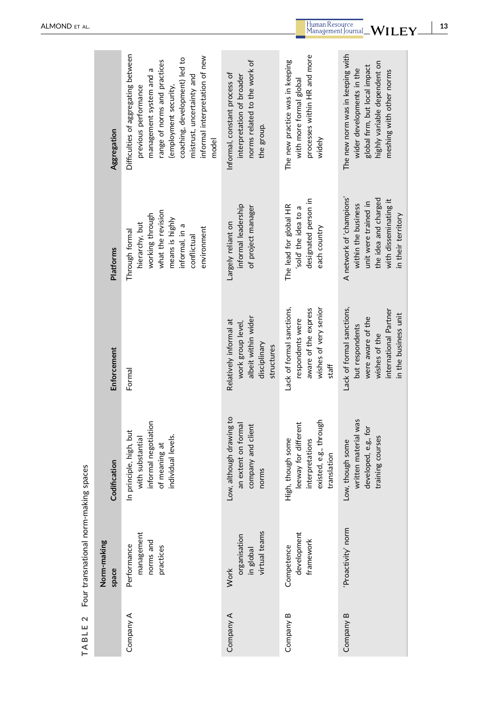<span id="page-12-0"></span>

|           | Norm-making<br>space                                | Codification                                                                                                 | Enforcement                                                                                                                         | <b>Platforms</b>                                                                                                                               | Aggregation                                                                                                                                                                                                                                              |
|-----------|-----------------------------------------------------|--------------------------------------------------------------------------------------------------------------|-------------------------------------------------------------------------------------------------------------------------------------|------------------------------------------------------------------------------------------------------------------------------------------------|----------------------------------------------------------------------------------------------------------------------------------------------------------------------------------------------------------------------------------------------------------|
| Company A | management<br>norms and<br>Performance<br>practices | informal negotiation<br>principle, high, but<br>individual levels.<br>with substantial<br>of meaning at<br>드 | Formal                                                                                                                              | what the revision<br>working through<br>means is highly<br>hierarchy, but<br>informal, in a<br>environment<br>Through formal<br>conflictual    | Difficulties of aggregating between<br>informal interpretation of new<br>coaching, development) led to<br>range of norms and practices<br>management system and a<br>mistrust, uncertainty and<br>(employment security,<br>previous performance<br>model |
| Company A | virtual teams<br>organisation<br>in global<br>Work  | Low, although drawing to<br>an extent on formal<br>company and client<br>norms                               | albeit within wider<br>Relatively informal at<br>work group level,<br>disciplinary<br>structures                                    | informal leadership<br>of project manager<br>Largely reliant on                                                                                | norms related to the work of<br>Informal, constant process of<br>interpretation of broader<br>the group.                                                                                                                                                 |
| Company B | development<br>framework<br>Competence              | existed, e.g., through<br>leeway for different<br>igh, though some<br>interpretations<br>translation<br>I    | Lack of formal sanctions,<br>wishes of very senior<br>aware of the express<br>respondents were<br>staff                             | designated person in<br>The lead for global HR<br>sold' the idea to a<br>each country                                                          | processes within HR and more<br>The new practice was in keeping<br>with more formal global<br>widely                                                                                                                                                     |
| Company B | 'Proactivity' norm                                  | written material was<br>developed, e.g., for<br>training courses<br>Low, though some                         | Lack of formal sanctions,<br>international Partner<br>in the business unit<br>were aware of the<br>but respondents<br>wishes of the | A network of 'champions'<br>the idea and charged<br>with disseminating it<br>unit were trained in<br>within the business<br>in their territory | The new norm was in keeping with<br>highly variable dependent on<br>global firm, but local impact<br>wider developments in the<br>meshing with other norms                                                                                               |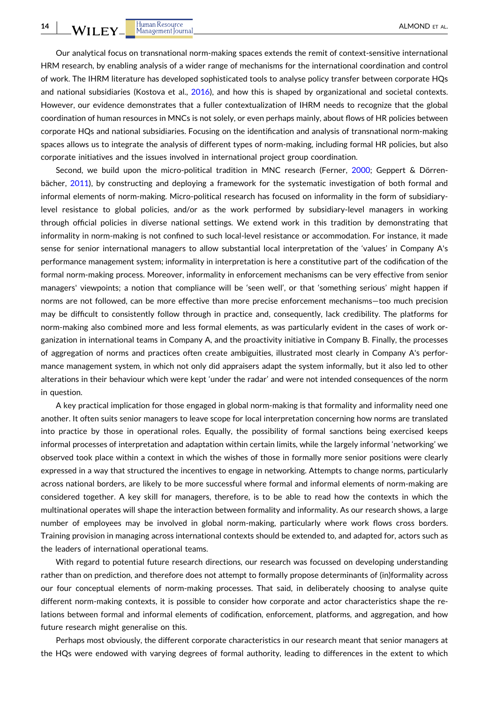Our analytical focus on transnational norm‐making spaces extends the remit of context‐sensitive international HRM research, by enabling analysis of a wider range of mechanisms for the international coordination and control of work. The IHRM literature has developed sophisticated tools to analyse policy transfer between corporate HQs and national subsidiaries (Kostova et al., [2016\)](#page-15-0), and how this is shaped by organizational and societal contexts. However, our evidence demonstrates that a fuller contextualization of IHRM needs to recognize that the global coordination of human resources in MNCs is not solely, or even perhaps mainly, about flows of HR policies between corporate HQs and national subsidiaries. Focusing on the identification and analysis of transnational norm-making spaces allows us to integrate the analysis of different types of norm-making, including formal HR policies, but also corporate initiatives and the issues involved in international project group coordination.

Second, we build upon the micro-political tradition in MNC research (Ferner, [2000](#page-15-0); Geppert & Dörrenbächer, [2011](#page-15-0)), by constructing and deploying a framework for the systematic investigation of both formal and informal elements of norm-making. Micro-political research has focused on informality in the form of subsidiarylevel resistance to global policies, and/or as the work performed by subsidiary‐level managers in working through official policies in diverse national settings. We extend work in this tradition by demonstrating that informality in norm‐making is not confined to such local‐level resistance or accommodation. For instance, it made sense for senior international managers to allow substantial local interpretation of the 'values' in Company A's performance management system; informality in interpretation is here a constitutive part of the codification of the formal norm-making process. Moreover, informality in enforcement mechanisms can be very effective from senior managers' viewpoints; a notion that compliance will be 'seen well', or that 'something serious' might happen if norms are not followed, can be more effective than more precise enforcement mechanisms—too much precision may be difficult to consistently follow through in practice and, consequently, lack credibility. The platforms for norm-making also combined more and less formal elements, as was particularly evident in the cases of work organization in international teams in Company A, and the proactivity initiative in Company B. Finally, the processes of aggregation of norms and practices often create ambiguities, illustrated most clearly in Company A's performance management system, in which not only did appraisers adapt the system informally, but it also led to other alterations in their behaviour which were kept 'under the radar' and were not intended consequences of the norm in question.

A key practical implication for those engaged in global norm‐making is that formality and informality need one another. It often suits senior managers to leave scope for local interpretation concerning how norms are translated into practice by those in operational roles. Equally, the possibility of formal sanctions being exercised keeps informal processes of interpretation and adaptation within certain limits, while the largely informal 'networking' we observed took place within a context in which the wishes of those in formally more senior positions were clearly expressed in a way that structured the incentives to engage in networking. Attempts to change norms, particularly across national borders, are likely to be more successful where formal and informal elements of norm‐making are considered together. A key skill for managers, therefore, is to be able to read how the contexts in which the multinational operates will shape the interaction between formality and informality. As our research shows, a large number of employees may be involved in global norm‐making, particularly where work flows cross borders. Training provision in managing across international contexts should be extended to, and adapted for, actors such as the leaders of international operational teams.

With regard to potential future research directions, our research was focussed on developing understanding rather than on prediction, and therefore does not attempt to formally propose determinants of (in)formality across our four conceptual elements of norm‐making processes. That said, in deliberately choosing to analyse quite different norm‐making contexts, it is possible to consider how corporate and actor characteristics shape the relations between formal and informal elements of codification, enforcement, platforms, and aggregation, and how future research might generalise on this.

Perhaps most obviously, the different corporate characteristics in our research meant that senior managers at the HQs were endowed with varying degrees of formal authority, leading to differences in the extent to which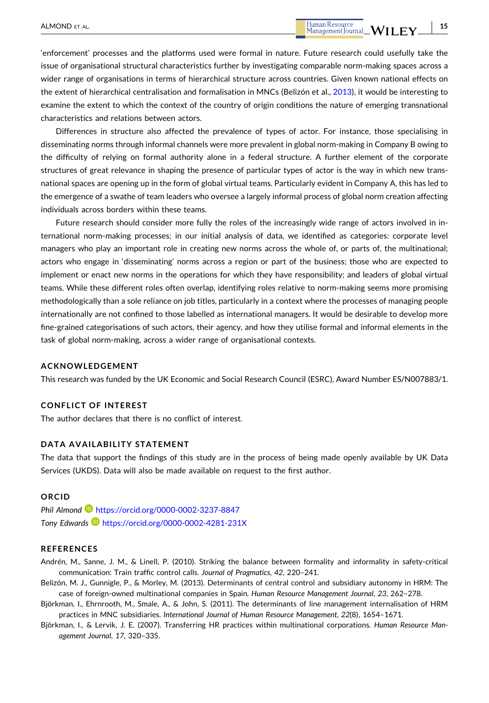<span id="page-14-0"></span>Differences in structure also affected the prevalence of types of actor. For instance, those specialising in disseminating norms through informal channels were more prevalent in global norm‐making in Company B owing to the difficulty of relying on formal authority alone in a federal structure. A further element of the corporate structures of great relevance in shaping the presence of particular types of actor is the way in which new transnational spaces are opening up in the form of global virtual teams. Particularly evident in Company A, this has led to the emergence of a swathe of team leaders who oversee a largely informal process of global norm creation affecting individuals across borders within these teams.

Future research should consider more fully the roles of the increasingly wide range of actors involved in international norm‐making processes; in our initial analysis of data, we identified as categories: corporate level managers who play an important role in creating new norms across the whole of, or parts of, the multinational; actors who engage in 'disseminating' norms across a region or part of the business; those who are expected to implement or enact new norms in the operations for which they have responsibility; and leaders of global virtual teams. While these different roles often overlap, identifying roles relative to norm-making seems more promising methodologically than a sole reliance on job titles, particularly in a context where the processes of managing people internationally are not confined to those labelled as international managers. It would be desirable to develop more fine‐grained categorisations of such actors, their agency, and how they utilise formal and informal elements in the task of global norm‐making, across a wider range of organisational contexts.

### **ACKNOWLEDGEMENT**

This research was funded by the UK Economic and Social Research Council (ESRC), Award Number ES/N007883/1.

#### **CONFLICT OF INTEREST**

The author declares that there is no conflict of interest.

## **DATA AVAILABILITY STATEMENT**

The data that support the findings of this study are in the process of being made openly available by UK Data Services (UKDS). Data will also be made available on request to the first author.

#### **ORCID**

**Phil Almond <b>b** <https://orcid.org/0000-0002-3237-8847> *Tony Edwards* <https://orcid.org/0000-0002-4281-231X>

#### **REFERENCES**

Andrén, M., Sanne, J. M., & Linell, P. (2010). Striking the balance between formality and informality in safety‐critical communication: Train traffic control calls. *Journal of Pragmatics*, *42*, 220–241.

- Belizón, M. J., Gunnigle, P., & Morley, M. (2013). Determinants of central control and subsidiary autonomy in HRM: The case of foreign‐owned multinational companies in Spain. *Human Resource Management Journal*, *23*, 262–278.
- Björkman, I., Ehrnrooth, M., Smale, A., & John, S. (2011). The determinants of line management internalisation of HRM practices in MNC subsidiaries. *International Journal of Human Resource Management*, *22*(8), 1654–1671.
- Björkman, I., & Lervik, J. E. (2007). Transferring HR practices within multinational corporations. *Human Resource Management Journal*, *17*, 320–335.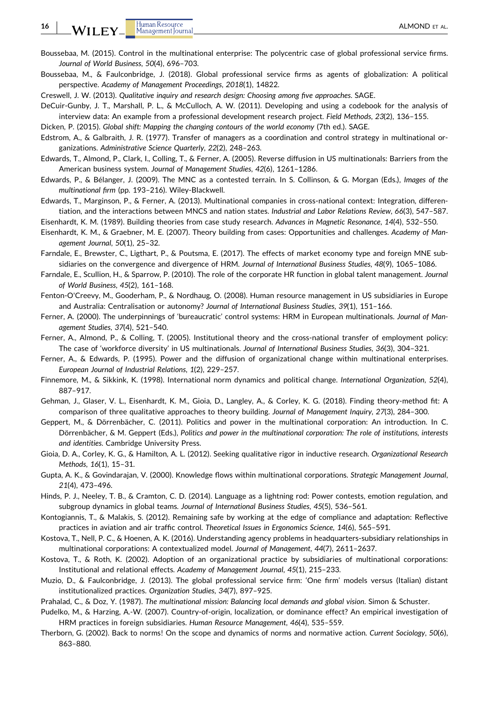<span id="page-15-0"></span>**16**

- Boussebaa, M. (2015). Control in the multinational enterprise: The polycentric case of global professional service firms. *Journal of World Business*, *50*(4), 696–703.
- Boussebaa, M., & Faulconbridge, J. (2018). Global professional service firms as agents of globalization: A political perspective. *Academy of Management Proceedings*, *2018*(1), 14822.
- Creswell, J. W. (2013). *Qualitative inquiry and research design: Choosing among five approaches*. SAGE.
- DeCuir‐Gunby, J. T., Marshall, P. L., & McCulloch, A. W. (2011). Developing and using a codebook for the analysis of interview data: An example from a professional development research project. *Field Methods*, *23*(2), 136–155.

Dicken, P. (2015). *Global shift: Mapping the changing contours of the world economy* (7th ed.). SAGE.

- Edstrom, A., & Galbraith, J. R. (1977). Transfer of managers as a coordination and control strategy in multinational organizations. *Administrative Science Quarterly*, *22*(2), 248–263.
- Edwards, T., Almond, P., Clark, I., Colling, T., & Ferner, A. (2005). Reverse diffusion in US multinationals: Barriers from the American business system. *Journal of Management Studies*, *42*(6), 1261–1286.
- Edwards, P., & Bélanger, J. (2009). The MNC as a contested terrain. In S. Collinson, & G. Morgan (Eds.), *Images of the multinational firm* (pp. 193–216). Wiley‐Blackwell.
- Edwards, T., Marginson, P., & Ferner, A. (2013). Multinational companies in cross‐national context: Integration, differentiation, and the interactions between MNCS and nation states. *Industrial and Labor Relations Review*, *66*(3), 547–587.
- Eisenhardt, K. M. (1989). Building theories from case study research. *Advances in Magnetic Resonance*, *14*(4), 532–550.
- Eisenhardt, K. M., & Graebner, M. E. (2007). Theory building from cases: Opportunities and challenges. *Academy of Management Journal*, *50*(1), 25–32.
- Farndale, E., Brewster, C., Ligthart, P., & Poutsma, E. (2017). The effects of market economy type and foreign MNE subsidiaries on the convergence and divergence of HRM. *Journal of International Business Studies*, *48*(9), 1065–1086.
- Farndale, E., Scullion, H., & Sparrow, P. (2010). The role of the corporate HR function in global talent management. *Journal of World Business*, *45*(2), 161–168.
- Fenton‐O'Creevy, M., Gooderham, P., & Nordhaug, O. (2008). Human resource management in US subsidiaries in Europe and Australia: Centralisation or autonomy? *Journal of International Business Studies*, *39*(1), 151–166.
- Ferner, A. (2000). The underpinnings of 'bureaucratic' control systems: HRM in European multinationals. *Journal of Management Studies*, *37*(4), 521–540.
- Ferner, A., Almond, P., & Colling, T. (2005). Institutional theory and the cross-national transfer of employment policy: The case of 'workforce diversity' in US multinationals. *Journal of International Business Studies*, *36*(3), 304–321.
- Ferner, A., & Edwards, P. (1995). Power and the diffusion of organizational change within multinational enterprises. *European Journal of Industrial Relations*, *1*(2), 229–257.
- Finnemore, M., & Sikkink, K. (1998). International norm dynamics and political change. *International Organization*, *52*(4), 887–917.
- Gehman, J., Glaser, V. L., Eisenhardt, K. M., Gioia, D., Langley, A., & Corley, K. G. (2018). Finding theory‐method fit: A comparison of three qualitative approaches to theory building. *Journal of Management Inquiry*, *27*(3), 284–300.
- Geppert, M., & Dörrenbächer, C. (2011). Politics and power in the multinational corporation: An introduction. In C. Dörrenbächer, & M. Geppert (Eds.), *Politics and power in the multinational corporation: The role of institutions, interests and identities*. Cambridge University Press.
- Gioia, D. A., Corley, K. G., & Hamilton, A. L. (2012). Seeking qualitative rigor in inductive research. *Organizational Research Methods*, *16*(1), 15–31.
- Gupta, A. K., & Govindarajan, V. (2000). Knowledge flows within multinational corporations. *Strategic Management Journal*, *21*(4), 473–496.
- Hinds, P. J., Neeley, T. B., & Cramton, C. D. (2014). Language as a lightning rod: Power contests, emotion regulation, and subgroup dynamics in global teams. *Journal of International Business Studies*, *45*(5), 536–561.
- Kontogiannis, T., & Malakis, S. (2012). Remaining safe by working at the edge of compliance and adaptation: Reflective practices in aviation and air traffic control. *Theoretical Issues in Ergonomics Science*, *14*(6), 565–591.
- Kostova, T., Nell, P. C., & Hoenen, A. K. (2016). Understanding agency problems in headquarters-subsidiary relationships in multinational corporations: A contextualized model. *Journal of Management*, *44*(7), 2611–2637.
- Kostova, T., & Roth, K. (2002). Adoption of an organizational practice by subsidiaries of multinational corporations: Institutional and relational effects. *Academy of Management Journal*, *45*(1), 215–233.
- Muzio, D., & Faulconbridge, J. (2013). The global professional service firm: 'One firm' models versus (Italian) distant institutionalized practices. *Organization Studies*, *34*(7), 897–925.
- Prahalad, C., & Doz, Y. (1987). *The multinational mission: Balancing local demands and global vision*. Simon & Schuster.
- Pudelko, M., & Harzing, A.‐W. (2007). Country‐of‐origin, localization, or dominance effect? An empirical investigation of HRM practices in foreign subsidiaries. *Human Resource Management*, *46*(4), 535–559.
- Therborn, G. (2002). Back to norms! On the scope and dynamics of norms and normative action. *Current Sociology*, *50*(6), 863–880.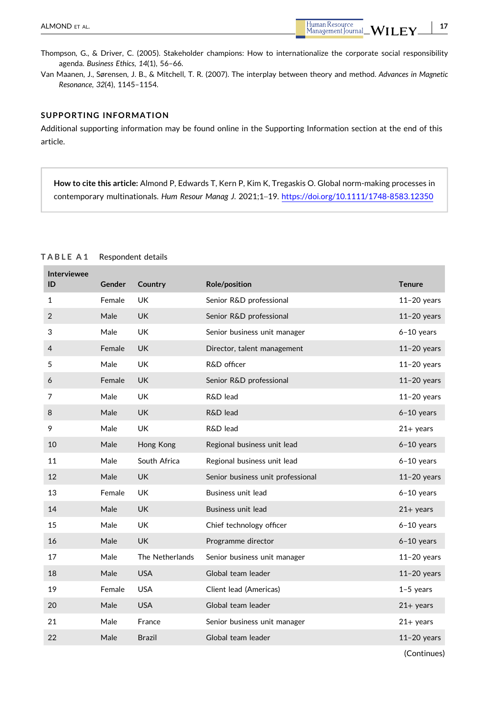- **17**

<span id="page-16-0"></span>Thompson, G., & Driver, C. (2005). Stakeholder champions: How to internationalize the corporate social responsibility agenda. *Business Ethics*, *14*(1), 56–66.

Van Maanen, J., Sørensen, J. B., & Mitchell, T. R. (2007). The interplay between theory and method. *Advances in Magnetic Resonance*, *32*(4), 1145–1154.

#### **SUPPORTING INFORMATION**

Additional supporting information may be found online in the Supporting Information section at the end of this article.

**How to cite this article:** Almond P, Edwards T, Kern P, Kim K, Tregaskis O. Global norm‐making processes in contemporary multinationals. *Hum Resour Manag J*. 2021;1–19. <https://doi.org/10.1111/1748-8583.12350>

| <b>Interviewee</b><br>ID | Gender | Country         | Role/position                     | <b>Tenure</b> |
|--------------------------|--------|-----------------|-----------------------------------|---------------|
| 1                        | Female | UK              | Senior R&D professional           | $11-20$ years |
| $\overline{2}$           | Male   | <b>UK</b>       | Senior R&D professional           | $11-20$ years |
| 3                        | Male   | <b>UK</b>       | Senior business unit manager      | $6-10$ years  |
| 4                        | Female | <b>UK</b>       | Director, talent management       | $11-20$ years |
| 5                        | Male   | UK              | R&D officer                       | $11-20$ years |
| 6                        | Female | <b>UK</b>       | Senior R&D professional           | $11-20$ years |
| 7                        | Male   | <b>UK</b>       | R&D lead                          | $11-20$ years |
| 8                        | Male   | <b>UK</b>       | R&D lead                          | $6-10$ years  |
| 9                        | Male   | <b>UK</b>       | R&D lead                          | $21+$ years   |
| 10                       | Male   | Hong Kong       | Regional business unit lead       | $6-10$ years  |
| 11                       | Male   | South Africa    | Regional business unit lead       | $6-10$ years  |
| 12                       | Male   | <b>UK</b>       | Senior business unit professional | $11-20$ years |
| 13                       | Female | <b>UK</b>       | Business unit lead                | $6-10$ years  |
| 14                       | Male   | <b>UK</b>       | Business unit lead                | $21+$ years   |
| 15                       | Male   | <b>UK</b>       | Chief technology officer          | $6-10$ years  |
| 16                       | Male   | <b>UK</b>       | Programme director                | $6-10$ years  |
| 17                       | Male   | The Netherlands | Senior business unit manager      | $11-20$ years |
| 18                       | Male   | <b>USA</b>      | Global team leader                | $11-20$ years |
| 19                       | Female | <b>USA</b>      | Client lead (Americas)            | $1-5$ years   |
| 20                       | Male   | <b>USA</b>      | Global team leader                | $21+$ years   |
| 21                       | Male   | France          | Senior business unit manager      | $21+$ years   |
| 22                       | Male   | <b>Brazil</b>   | Global team leader                | $11-20$ years |
|                          |        |                 |                                   |               |

#### **TABLE A 1** Respondent details

(Continues)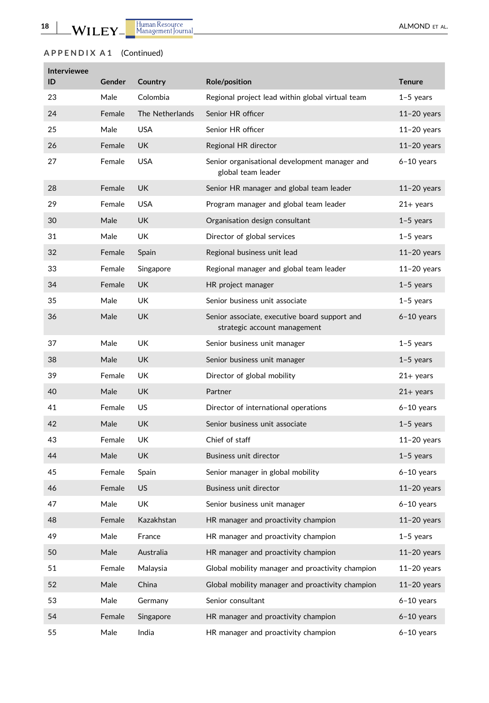п

# **APPENDIX A 1** (Continued)

| <b>Interviewee</b><br>ID | Gender | Country         | <b>Role/position</b>                                                          | <b>Tenure</b> |
|--------------------------|--------|-----------------|-------------------------------------------------------------------------------|---------------|
| 23                       | Male   | Colombia        | Regional project lead within global virtual team                              | $1-5$ years   |
| 24                       | Female | The Netherlands | Senior HR officer                                                             | $11-20$ years |
| 25                       | Male   | USA             | Senior HR officer                                                             | $11-20$ years |
| 26                       | Female | UK              | Regional HR director                                                          | $11-20$ years |
| 27                       | Female | USA             | Senior organisational development manager and<br>global team leader           | $6-10$ years  |
| 28                       | Female | UK              | Senior HR manager and global team leader                                      | $11-20$ years |
| 29                       | Female | USA             | Program manager and global team leader                                        | $21+$ years   |
| 30                       | Male   | UK              | Organisation design consultant                                                | $1-5$ years   |
| 31                       | Male   | UK              | Director of global services                                                   | $1-5$ years   |
| 32                       | Female | Spain           | Regional business unit lead                                                   | $11-20$ years |
| 33                       | Female | Singapore       | Regional manager and global team leader                                       | $11-20$ years |
| 34                       | Female | UK              | HR project manager                                                            | $1-5$ years   |
| 35                       | Male   | UK              | Senior business unit associate                                                | $1-5$ years   |
| 36                       | Male   | UK              | Senior associate, executive board support and<br>strategic account management | $6-10$ years  |
| 37                       | Male   | UK              | Senior business unit manager                                                  | $1-5$ years   |
| 38                       | Male   | UK.             | Senior business unit manager                                                  | $1-5$ years   |
| 39                       | Female | UK              | Director of global mobility                                                   | $21+$ years   |
| 40                       | Male   | <b>UK</b>       | Partner                                                                       | $21+$ years   |
| 41                       | Female | US              | Director of international operations                                          | $6-10$ years  |
| 42                       | Male   | UK              | Senior business unit associate                                                | $1-5$ years   |
| 43                       | Female | UK              | Chief of staff                                                                | $11-20$ years |
| 44                       | Male   | UK.             | Business unit director                                                        | $1-5$ years   |
| 45                       | Female | Spain           | Senior manager in global mobility                                             | $6-10$ years  |
| 46                       | Female | US              | Business unit director                                                        | $11-20$ years |
| 47                       | Male   | UK              | Senior business unit manager                                                  | $6-10$ years  |
| 48                       | Female | Kazakhstan      | HR manager and proactivity champion                                           | $11-20$ years |
| 49                       | Male   | France          | HR manager and proactivity champion                                           | $1-5$ years   |
| 50                       | Male   | Australia       | HR manager and proactivity champion                                           | $11-20$ years |
| 51                       | Female | Malaysia        | Global mobility manager and proactivity champion                              | $11-20$ years |
| 52                       | Male   | China           | Global mobility manager and proactivity champion                              | $11-20$ years |
| 53                       | Male   | Germany         | Senior consultant                                                             | $6-10$ years  |
| 54                       | Female | Singapore       | HR manager and proactivity champion                                           | $6-10$ years  |
| 55                       | Male   | India           | HR manager and proactivity champion                                           | $6-10$ years  |